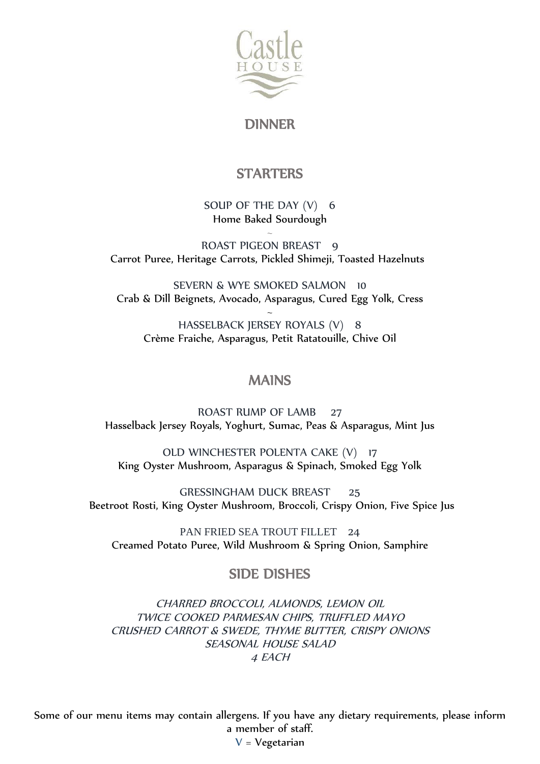

DINNER

# **STARTERS**

SOUP OF THE DAY (V) 6 Home Baked Sourdough

 $\ddot{\phantom{0}}$ ROAST PIGEON BREAST 9 Carrot Puree, Heritage Carrots, Pickled Shimeji, Toasted Hazelnuts

SEVERN & WYE SMOKED SALMON 10 Crab & Dill Beignets, Avocado, Asparagus, Cured Egg Yolk, Cress

 $\ddot{\phantom{0}}$ HASSELBACK JERSEY ROYALS (V) 8 Crème Fraiche, Asparagus, Petit Ratatouille, Chive Oil

#### MAINS

ROAST RUMP OF LAMB 27 Hasselback Jersey Royals, Yoghurt, Sumac, Peas & Asparagus, Mint Jus

OLD WINCHESTER POLENTA CAKE (V) 17 King Oyster Mushroom, Asparagus & Spinach, Smoked Egg Yolk

GRESSINGHAM DUCK BREAST 25 Beetroot Rosti, King Oyster Mushroom, Broccoli, Crispy Onion, Five Spice Jus

PAN FRIED SEA TROUT FILLET 24 Creamed Potato Puree, Wild Mushroom & Spring Onion, Samphire

## SIDE DISHES

CHARRED BROCCOLI, ALMONDS, LEMON OIL TWICE COOKED PARMESAN CHIPS, TRUFFLED MAYO CRUSHED CARROT & SWEDE, THYME BUTTER, CRISPY ONIONS SEASONAL HOUSE SALAD 4 EACH

Some of our menu items may contain allergens. If you have any dietary requirements, please inform a member of staff.  $V = V$ egetarian